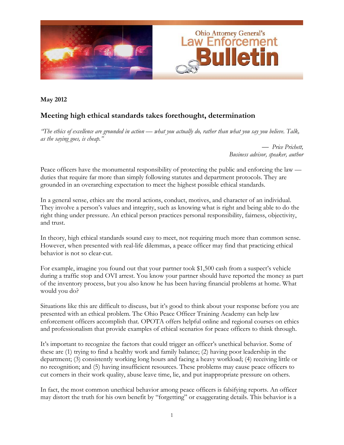

**May 2012** 

# **Meeting high ethical standards takes forethought, determination**

*"The ethics of excellence are grounded in action — what you actually do, rather than what you say you believe. Talk, as the saying goes, is cheap."* 

> — *Price Prichett, Business advisor, speaker, author*

Peace officers have the monumental responsibility of protecting the public and enforcing the law duties that require far more than simply following statutes and department protocols. They are grounded in an overarching expectation to meet the highest possible ethical standards.

In a general sense, ethics are the moral actions, conduct, motives, and character of an individual. They involve a person's values and integrity, such as knowing what is right and being able to do the right thing under pressure. An ethical person practices personal responsibility, fairness, objectivity, and trust.

In theory, high ethical standards sound easy to meet, not requiring much more than common sense. However, when presented with real-life dilemmas, a peace officer may find that practicing ethical behavior is not so clear-cut.

For example, imagine you found out that your partner took \$1,500 cash from a suspect's vehicle during a traffic stop and OVI arrest. You know your partner should have reported the money as part of the inventory process, but you also know he has been having financial problems at home. What would you do?

Situations like this are difficult to discuss, but it's good to think about your response before you are presented with an ethical problem. The Ohio Peace Officer Training Academy can help law enforcement officers accomplish that. OPOTA offers helpful online and regional courses on ethics and professionalism that provide examples of ethical scenarios for peace officers to think through.

It's important to recognize the factors that could trigger an officer's unethical behavior. Some of these are (1) trying to find a healthy work and family balance; (2) having poor leadership in the department; (3) consistently working long hours and facing a heavy workload; (4) receiving little or no recognition; and (5) having insufficient resources. These problems may cause peace officers to cut corners in their work quality, abuse leave time, lie, and put inappropriate pressure on others.

In fact, the most common unethical behavior among peace officers is falsifying reports. An officer may distort the truth for his own benefit by "forgetting" or exaggerating details. This behavior is a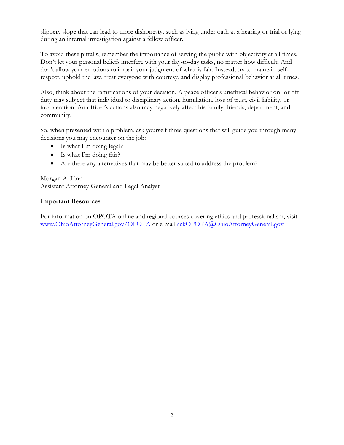slippery slope that can lead to more dishonesty, such as lying under oath at a hearing or trial or lying during an internal investigation against a fellow officer.

To avoid these pitfalls, remember the importance of serving the public with objectivity at all times. Don't let your personal beliefs interfere with your day-to-day tasks, no matter how difficult. And don't allow your emotions to impair your judgment of what is fair. Instead, try to maintain selfrespect, uphold the law, treat everyone with courtesy, and display professional behavior at all times.

Also, think about the ramifications of your decision. A peace officer's unethical behavior on- or offduty may subject that individual to disciplinary action, humiliation, loss of trust, civil liability, or incarceration. An officer's actions also may negatively affect his family, friends, department, and community.

So, when presented with a problem, ask yourself three questions that will guide you through many decisions you may encounter on the job:

- Is what I'm doing legal?
- Is what I'm doing fair?
- Are there any alternatives that may be better suited to address the problem?

Morgan A. Linn Assistant Attorney General and Legal Analyst

#### **Important Resources**

For information on OPOTA online and regional courses covering ethics and professionalism, visit www.OhioAttorneyGeneral.gov/OPOTA or e-mail askOPOTA@OhioAttorneyGeneral.gov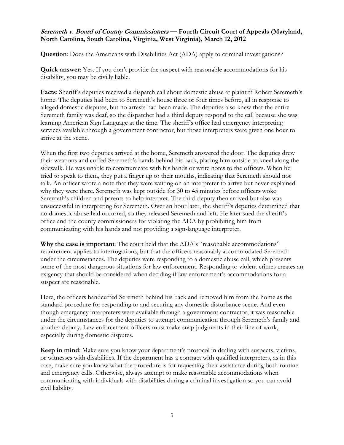#### **Seremeth v. Board of County Commissioners — Fourth Circuit Court of Appeals (Maryland, North Carolina, South Carolina, Virginia, West Virginia), March 12, 2012**

**Question**: Does the Americans with Disabilities Act (ADA) apply to criminal investigations?

**Quick answer**: Yes. If you don't provide the suspect with reasonable accommodations for his disability, you may be civilly liable.

Facts: Sheriff's deputies received a dispatch call about domestic abuse at plaintiff Robert Seremeth's home. The deputies had been to Seremeth's house three or four times before, all in response to alleged domestic disputes, but no arrests had been made. The deputies also knew that the entire Seremeth family was deaf, so the dispatcher had a third deputy respond to the call because she was learning American Sign Language at the time. The sheriff's office had emergency interpreting services available through a government contractor, but those interpreters were given one hour to arrive at the scene.

When the first two deputies arrived at the home, Seremeth answered the door. The deputies drew their weapons and cuffed Seremeth's hands behind his back, placing him outside to kneel along the sidewalk. He was unable to communicate with his hands or write notes to the officers. When he tried to speak to them, they put a finger up to their mouths, indicating that Seremeth should not talk. An officer wrote a note that they were waiting on an interpreter to arrive but never explained why they were there. Seremeth was kept outside for 30 to 45 minutes before officers woke Seremeth's children and parents to help interpret. The third deputy then arrived but also was unsuccessful in interpreting for Seremeth. Over an hour later, the sheriff's deputies determined that no domestic abuse had occurred, so they released Seremeth and left. He later sued the sheriff's office and the county commissioners for violating the ADA by prohibiting him from communicating with his hands and not providing a sign-language interpreter.

**Why the case is important**: The court held that the ADA's "reasonable accommodations" requirement applies to interrogations, but that the officers reasonably accommodated Seremeth under the circumstances. The deputies were responding to a domestic abuse call, which presents some of the most dangerous situations for law enforcement. Responding to violent crimes creates an exigency that should be considered when deciding if law enforcement's accommodations for a suspect are reasonable.

Here, the officers handcuffed Seremeth behind his back and removed him from the home as the standard procedure for responding to and securing any domestic disturbance scene. And even though emergency interpreters were available through a government contractor, it was reasonable under the circumstances for the deputies to attempt communication through Seremeth's family and another deputy. Law enforcement officers must make snap judgments in their line of work, especially during domestic disputes.

**Keep in mind**: Make sure you know your department's protocol in dealing with suspects, victims, or witnesses with disabilities. If the department has a contract with qualified interpreters, as in this case, make sure you know what the procedure is for requesting their assistance during both routine and emergency calls. Otherwise, always attempt to make reasonable accommodations when communicating with individuals with disabilities during a criminal investigation so you can avoid civil liability.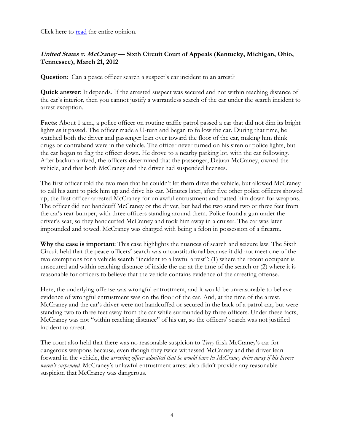Click here to **read** the entire opinion.

# **United States v. McCraney — Sixth Circuit Court of Appeals (Kentucky, Michigan, Ohio, Tennessee), March 21, 2012**

**Question:** Can a peace officer search a suspect's car incident to an arrest?

**Quick answer**: It depends. If the arrested suspect was secured and not within reaching distance of the car's interior, then you cannot justify a warrantless search of the car under the search incident to arrest exception.

**Facts**: About 1 a.m., a police officer on routine traffic patrol passed a car that did not dim its bright lights as it passed. The officer made a U-turn and began to follow the car. During that time, he watched both the driver and passenger lean over toward the floor of the car, making him think drugs or contraband were in the vehicle. The officer never turned on his siren or police lights, but the car began to flag the officer down. He drove to a nearby parking lot, with the car following. After backup arrived, the officers determined that the passenger, Dejuan McCraney, owned the vehicle, and that both McCraney and the driver had suspended licenses.

The first officer told the two men that he couldn't let them drive the vehicle, but allowed McCraney to call his aunt to pick him up and drive his car. Minutes later, after five other police officers showed up, the first officer arrested McCraney for unlawful entrustment and patted him down for weapons. The officer did not handcuff McCraney or the driver, but had the two stand two or three feet from the car's rear bumper, with three officers standing around them. Police found a gun under the driver's seat, so they handcuffed McCraney and took him away in a cruiser. The car was later impounded and towed. McCraney was charged with being a felon in possession of a firearm.

**Why the case is important**: This case highlights the nuances of search and seizure law. The Sixth Circuit held that the peace officers' search was unconstitutional because it did not meet one of the two exemptions for a vehicle search "incident to a lawful arrest": (1) where the recent occupant is unsecured and within reaching distance of inside the car at the time of the search or (2) where it is reasonable for officers to believe that the vehicle contains evidence of the arresting offense.

Here, the underlying offense was wrongful entrustment, and it would be unreasonable to believe evidence of wrongful entrustment was on the floor of the car. And, at the time of the arrest, McCraney and the car's driver were not handcuffed or secured in the back of a patrol car, but were standing two to three feet away from the car while surrounded by three officers. Under these facts, McCraney was not "within reaching distance" of his car, so the officers' search was not justified incident to arrest.

The court also held that there was no reasonable suspicion to *Terry* frisk McCraney's car for dangerous weapons because, even though they twice witnessed McCraney and the driver lean forward in the vehicle, the *arresting officer admitted that he would have let McCraney drive away if his license weren't suspended*. McCraney's unlawful entrustment arrest also didn't provide any reasonable suspicion that McCraney was dangerous.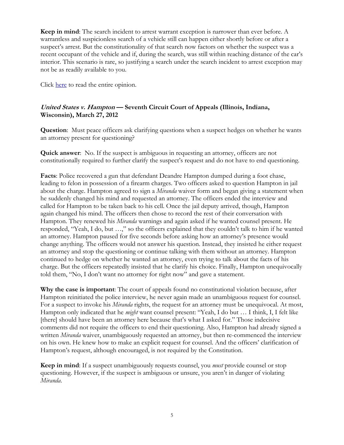**Keep in mind**: The search incident to arrest warrant exception is narrower than ever before. A warrantless and suspicionless search of a vehicle still can happen either shortly before or after a suspect's arrest. But the constitutionality of that search now factors on whether the suspect was a recent occupant of the vehicle and if, during the search, was still within reaching distance of the car's interior. This scenario is rare, so justifying a search under the search incident to arrest exception may not be as readily available to you.

Click [here](http://www.ca6.uscourts.gov/opinions.pdf/12a0081p-06.pdf) to read the entire opinion.

# **United States v. Hampton — Seventh Circuit Court of Appeals (Illinois, Indiana, Wisconsin), March 27, 2012**

**Question**: Must peace officers ask clarifying questions when a suspect hedges on whether he wants an attorney present for questioning?

**Quick answer**: No. If the suspect is ambiguous in requesting an attorney, officers are not constitutionally required to further clarify the suspect's request and do not have to end questioning.

**Facts**: Police recovered a gun that defendant Deandre Hampton dumped during a foot chase, leading to felon in possession of a firearm charges. Two officers asked to question Hampton in jail about the charge. Hampton agreed to sign a *Miranda* waiver form and began giving a statement when he suddenly changed his mind and requested an attorney. The officers ended the interview and called for Hampton to be taken back to his cell. Once the jail deputy arrived, though, Hampton again changed his mind. The officers then chose to record the rest of their conversation with Hampton. They renewed his *Miranda* warnings and again asked if he wanted counsel present. He responded, "Yeah, I do, but …," so the officers explained that they couldn't talk to him if he wanted an attorney. Hampton paused for five seconds before asking how an attorney's presence would change anything. The officers would not answer his question. Instead, they insisted he either request an attorney and stop the questioning or continue talking with them without an attorney. Hampton continued to hedge on whether he wanted an attorney, even trying to talk about the facts of his charge. But the officers repeatedly insisted that he clarify his choice. Finally, Hampton unequivocally told them, "No, I don't want no attorney for right now" and gave a statement.

**Why the case is important**: The court of appeals found no constitutional violation because, after Hampton reinitiated the police interview, he never again made an unambiguous request for counsel. For a suspect to invoke his *Miranda* rights, the request for an attorney must be unequivocal. At most, Hampton only indicated that he *might* want counsel present: "Yeah, I do but … I think, I, I felt like [there] should have been an attorney here because that's what I asked for." Those indecisive comments did not require the officers to end their questioning. Also, Hampton had already signed a written *Miranda* waiver, unambiguously requested an attorney, but then re-commenced the interview on his own. He knew how to make an explicit request for counsel. And the officers' clarification of Hampton's request, although encouraged, is not required by the Constitution.

**Keep in mind**: If a suspect unambiguously requests counsel, you *must* provide counsel or stop questioning. However, if the suspect is ambiguous or unsure, you aren't in danger of violating *Miranda*.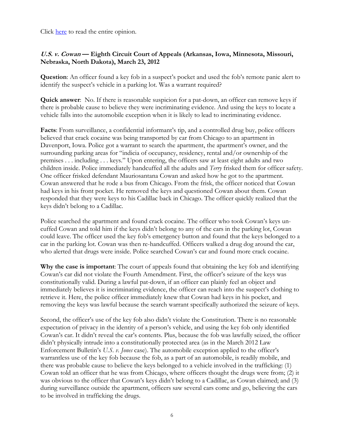Click [here](http://www.ca7.uscourts.gov/fdocs/docs.fwx?submit=showbr&shofile=10-1479_002.pdf) to read the entire opinion.

# **U.S. v. Cowan — Eighth Circuit Court of Appeals (Arkansas, Iowa, Minnesota, Missouri, Nebraska, North Dakota), March 23, 2012**

**Question**: An officer found a key fob in a suspect's pocket and used the fob's remote panic alert to identify the suspect's vehicle in a parking lot. Was a warrant required?

**Quick answer**: No. If there is reasonable suspicion for a pat-down, an officer can remove keys if there is probable cause to believe they were incriminating evidence. And using the keys to locate a vehicle falls into the automobile exception when it is likely to lead to incriminating evidence.

**Facts**: From surveillance, a confidential informant's tip, and a controlled drug buy, police officers believed that crack cocaine was being transported by car from Chicago to an apartment in Davenport, Iowa. Police got a warrant to search the apartment, the apartment's owner, and the surrounding parking areas for "indicia of occupancy, residency, rental and/or ownership of the premises . . . including . . . keys." Upon entering, the officers saw at least eight adults and two children inside. Police immediately handcuffed all the adults and *Terry* frisked them for officer safety. One officer frisked defendant Mauriosantana Cowan and asked how he got to the apartment. Cowan answered that he rode a bus from Chicago. From the frisk, the officer noticed that Cowan had keys in his front pocket. He removed the keys and questioned Cowan about them. Cowan responded that they were keys to his Cadillac back in Chicago. The officer quickly realized that the keys didn't belong to a Cadillac.

Police searched the apartment and found crack cocaine. The officer who took Cowan's keys uncuffed Cowan and told him if the keys didn't belong to any of the cars in the parking lot, Cowan could leave. The officer used the key fob's emergency button and found that the keys belonged to a car in the parking lot. Cowan was then re-handcuffed. Officers walked a drug dog around the car, who alerted that drugs were inside. Police searched Cowan's car and found more crack cocaine.

**Why the case is important**: The court of appeals found that obtaining the key fob and identifying Cowan's car did not violate the Fourth Amendment. First, the officer's seizure of the keys was constitutionally valid. During a lawful pat-down, if an officer can plainly feel an object and immediately believes it is incriminating evidence, the officer can reach into the suspect's clothing to retrieve it. Here, the police officer immediately knew that Cowan had keys in his pocket, and removing the keys was lawful because the search warrant specifically authorized the seizure of keys.

Second, the officer's use of the key fob also didn't violate the Constitution. There is no reasonable expectation of privacy in the identity of a person's vehicle, and using the key fob only identified Cowan's car. It didn't reveal the car's contents. Plus, because the fob was lawfully seized, the officer didn't physically intrude into a constitutionally protected area (as in the March 2012 Law Enforcement Bulletin's *U.S. v. Jones* case). The automobile exception applied to the officer's warrantless use of the key fob because the fob, as a part of an automobile, is readily mobile, and there was probable cause to believe the keys belonged to a vehicle involved in the trafficking: (1) Cowan told an officer that he was from Chicago, where officers thought the drugs were from; (2) it was obvious to the officer that Cowan's keys didn't belong to a Cadillac, as Cowan claimed; and (3) during surveillance outside the apartment, officers saw several cars come and go, believing the cars to be involved in trafficking the drugs.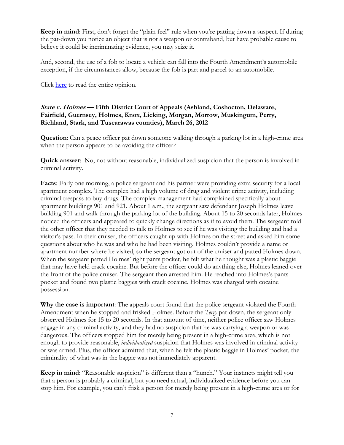**Keep in mind**: First, don't forget the "plain feel" rule when you're patting down a suspect. If during the pat-down you notice an object that is not a weapon or contraband, but have probable cause to believe it could be incriminating evidence, you may seize it.

And, second, the use of a fob to locate a vehicle can fall into the Fourth Amendment's automobile exception, if the circumstances allow, because the fob is part and parcel to an automobile.

Click [here](http://www.ca8.uscourts.gov/opndir/12/03/111525P.pdf) to read the entire opinion.

## **State v. Holmes — Fifth District Court of Appeals (Ashland, Coshocton, Delaware, Fairfield, Guernsey, Holmes, Knox, Licking, Morgan, Morrow, Muskingum, Perry, Richland, Stark, and Tuscarawas counties), March 26, 2012**

**Question**: Can a peace officer pat down someone walking through a parking lot in a high-crime area when the person appears to be avoiding the officer?

**Quick answer**: No, not without reasonable, individualized suspicion that the person is involved in criminal activity.

**Facts**: Early one morning, a police sergeant and his partner were providing extra security for a local apartment complex. The complex had a high volume of drug and violent crime activity, including criminal trespass to buy drugs. The complex management had complained specifically about apartment buildings 901 and 921. About 1 a.m., the sergeant saw defendant Joseph Holmes leave building 901 and walk through the parking lot of the building. About 15 to 20 seconds later, Holmes noticed the officers and appeared to quickly change directions as if to avoid them. The sergeant told the other officer that they needed to talk to Holmes to see if he was visiting the building and had a visitor's pass. In their cruiser, the officers caught up with Holmes on the street and asked him some questions about who he was and who he had been visiting. Holmes couldn't provide a name or apartment number where he visited, so the sergeant got out of the cruiser and patted Holmes down. When the sergeant patted Holmes' right pants pocket, he felt what he thought was a plastic baggie that may have held crack cocaine. But before the officer could do anything else, Holmes leaned over the front of the police cruiser. The sergeant then arrested him. He reached into Holmes's pants pocket and found two plastic baggies with crack cocaine. Holmes was charged with cocaine possession.

**Why the case is important**: The appeals court found that the police sergeant violated the Fourth Amendment when he stopped and frisked Holmes. Before the *Terry* pat-down, the sergeant only observed Holmes for 15 to 20 seconds. In that amount of time, neither police officer saw Holmes engage in any criminal activity, and they had no suspicion that he was carrying a weapon or was dangerous. The officers stopped him for merely being present in a high-crime area, which is not enough to provide reasonable, *individualized* suspicion that Holmes was involved in criminal activity or was armed. Plus, the officer admitted that, when he felt the plastic baggie in Holmes' pocket, the criminality of what was in the baggie was not immediately apparent.

**Keep in mind**: "Reasonable suspicion" is different than a "hunch." Your instincts might tell you that a person is probably a criminal, but you need actual, individualized evidence before you can stop him. For example, you can't frisk a person for merely being present in a high-crime area or for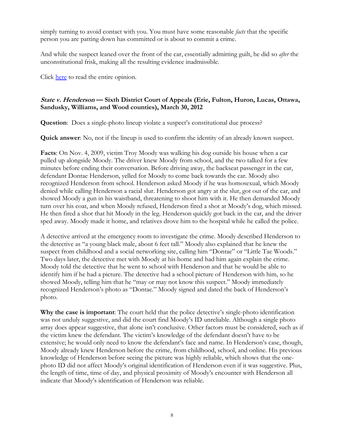simply turning to avoid contact with you. You must have some reasonable *facts* that the specific person you are patting down has committed or is about to commit a crime.

And while the suspect leaned over the front of the car, essentially admitting guilt, he did so *after* the unconstitutional frisk, making all the resulting evidence inadmissible.

Click [here t](http://www.supremecourtofohio.gov/rod/docs/pdf/5/2012/2012-ohio-1589.pdf)o read the entire opinion.

## **State v. Henderson — Sixth District Court of Appeals (Erie, Fulton, Huron, Lucas, Ottawa, Sandusky, Williams, and Wood counties), March 30, 2012**

**Question**: Does a single-photo lineup violate a suspect's constitutional due process?

**Quick answer**: No, not if the lineup is used to confirm the identity of an already known suspect.

**Facts**: On Nov. 4, 2009, victim Troy Moody was walking his dog outside his house when a car pulled up alongside Moody. The driver knew Moody from school, and the two talked for a few minutes before ending their conversation. Before driving away, the backseat passenger in the car, defendant Dontae Henderson, yelled for Moody to come back towards the car. Moody also recognized Henderson from school. Henderson asked Moody if he was homosexual, which Moody denied while calling Henderson a racial slur. Henderson got angry at the slur, got out of the car, and showed Moody a gun in his waistband, threatening to shoot him with it. He then demanded Moody turn over his coat, and when Moody refused, Henderson fired a shot at Moody's dog, which missed. He then fired a shot that hit Moody in the leg. Henderson quickly got back in the car, and the driver sped away. Moody made it home, and relatives drove him to the hospital while he called the police.

A detective arrived at the emergency room to investigate the crime. Moody described Henderson to the detective as "a young black male, about 6 feet tall." Moody also explained that he knew the suspect from childhood and a social networking site, calling him "Dontae" or "Little Tae Woods." Two days later, the detective met with Moody at his home and had him again explain the crime. Moody told the detective that he went to school with Henderson and that he would be able to identify him if he had a picture. The detective had a school picture of Henderson with him, so he showed Moody, telling him that he "may or may not know this suspect." Moody immediately recognized Henderson's photo as "Dontae." Moody signed and dated the back of Henderson's photo.

**Why the case is important**: The court held that the police detective's single-photo identification was not unduly suggestive, and did the court find Moody's ID unreliable. Although a single photo array does appear suggestive, that alone isn't conclusive. Other factors must be considered, such as if the victim knew the defendant. The victim's knowledge of the defendant doesn't have to be extensive; he would only need to know the defendant's face and name. In Henderson's case, though, Moody already knew Henderson before the crime, from childhood, school, and online. His previous knowledge of Henderson before seeing the picture was highly reliable, which shows that the onephoto ID did not affect Moody's original identification of Henderson even if it was suggestive. Plus, the length of time, time of day, and physical proximity of Moody's encounter with Henderson all indicate that Moody's identification of Henderson was reliable.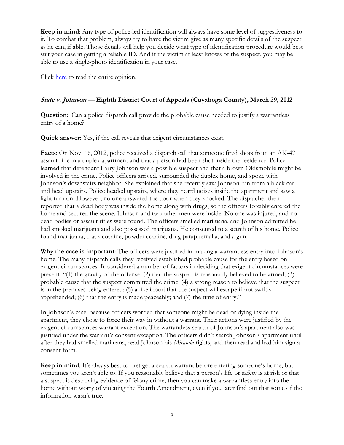**Keep in mind:** Any type of police-led identification will always have some level of suggestiveness to it. To combat that problem, always try to have the victim give as many specific details of the suspect as he can, if able. Those details will help you decide what type of identification procedure would best suit your case in getting a reliable ID. And if the victim at least knows of the suspect, you may be able to use a single-photo identification in your case.

Click [here](http://www.supremecourtofohio.gov/rod/docs/pdf/6/2012/2012-ohio-1396.pdf) to read the entire opinion.

## **State v. Johnson — Eighth District Court of Appeals (Cuyahoga County), March 29, 2012**

**Question**: Can a police dispatch call provide the probable cause needed to justify a warrantless entry of a home?

**Quick answer**: Yes, if the call reveals that exigent circumstances exist.

**Facts**: On Nov. 16, 2012, police received a dispatch call that someone fired shots from an AK-47 assault rifle in a duplex apartment and that a person had been shot inside the residence. Police learned that defendant Larry Johnson was a possible suspect and that a brown Oldsmobile might be involved in the crime. Police officers arrived, surrounded the duplex home, and spoke with Johnson's downstairs neighbor. She explained that she recently saw Johnson run from a black car and head upstairs. Police headed upstairs, where they heard noises inside the apartment and saw a light turn on. However, no one answered the door when they knocked. The dispatcher then reported that a dead body was inside the home along with drugs, so the officers forcibly entered the home and secured the scene. Johnson and two other men were inside. No one was injured, and no dead bodies or assault rifles were found. The officers smelled marijuana, and Johnson admitted he had smoked marijuana and also possessed marijuana. He consented to a search of his home. Police found marijuana, crack cocaine, powder cocaine, drug paraphernalia, and a gun.

**Why the case is important**: The officers were justified in making a warrantless entry into Johnson's home. The many dispatch calls they received established probable cause for the entry based on exigent circumstances. It considered a number of factors in deciding that exigent circumstances were present: "(1) the gravity of the offense; (2) that the suspect is reasonably believed to be armed; (3) probable cause that the suspect committed the crime; (4) a strong reason to believe that the suspect is in the premises being entered; (5) a likelihood that the suspect will escape if not swiftly apprehended; (6) that the entry is made peaceably; and (7) the time of entry."

In Johnson's case, because officers worried that someone might be dead or dying inside the apartment, they chose to force their way in without a warrant. Their actions were justified by the exigent circumstances warrant exception. The warrantless search of Johnson's apartment also was justified under the warrant's consent exception. The officers didn't search Johnson's apartment until after they had smelled marijuana, read Johnson his *Miranda* rights, and then read and had him sign a consent form.

**Keep in mind**: It's always best to first get a search warrant before entering someone's home, but sometimes you aren't able to. If you reasonably believe that a person's life or safety is at risk or that a suspect is destroying evidence of felony crime, then you can make a warrantless entry into the home without worry of violating the Fourth Amendment, even if you later find out that some of the information wasn't true.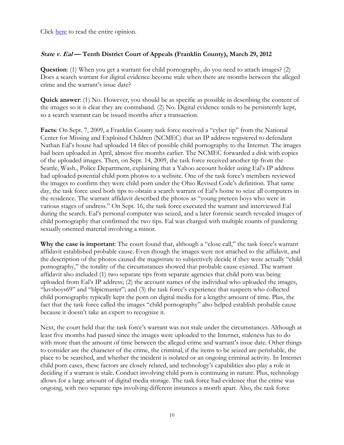Click [here](http://www.supremecourtofohio.gov/rod/docs/pdf/8/2012/2012-ohio-1344.pdf) to read the entire opinion.

## **State v. Eal — Tenth District Court of Appeals (Franklin County), March 29, 2012**

**Question**: (1) When you get a warrant for child pornography, do you need to attach images? (2) Does a search warrant for digital evidence become stale when there are months between the alleged crime and the warrant's issue date?

**Quick answer**: (1) No. However, you should be as specific as possible in describing the content of the images so it is clear they are contraband. (2) No. Digital evidence tends to be persistently kept, so a search warrant can be issued months after a transaction.

**Facts**: On Sept. 7, 2009, a Franklin County task force received a "cyber tip" from the National Center for Missing and Exploited Children (NCMEC) that an IP address registered to defendant Nathan Eal's house had uploaded 14 files of possible child pornography to the Internet. The images had been uploaded in April, almost five months earlier. The NCMEC forwarded a disk with copies of the uploaded images. Then, on Sept. 14, 2009, the task force received another tip from the Seattle, Wash., Police Department, explaining that a Yahoo account holder using Eal's IP address had uploaded potential child porn photos to a website. One of the task force's members reviewed the images to confirm they were child porn under the Ohio Revised Code's definition. That same day, the task force used both tips to obtain a search warrant of Eal's home to seize all computers in the residence. The warrant affidavit described the photos as "young preteen boys who were in various stages of undress." On Sept. 16, the task force executed the warrant and interviewed Eal during the search. Eal's personal computer was seized, and a later forensic search revealed images of child pornography that confirmed the two tips. Eal was charged with multiple counts of pandering sexually oriented material involving a minor.

**Why the case is important**: The court found that, although a "close call," the task force's warrant affidavit established probable cause. Even though the images were not attached to the affidavit, and the description of the photos caused the magistrate to subjectively decide if they were actually "child pornography," the totality of the circumstances showed that probable cause existed. The warrant affidavit also included (1) two separate tips from separate agencies that child porn was being uploaded from Eal's IP address; (2) the account names of the individual who uploaded the images, "luvsboys69" and "blpicmaster"; and (3) the task force's experience that suspects who collected child pornography typically kept the porn on digital media for a lengthy amount of time. Plus, the fact that the task force called the images "child pornography" also helped establish probable cause because it doesn't take an expert to recognize it.

Next, the court held that the task force's warrant was not stale under the circumstances. Although at least five months had passed since the images were uploaded to the Internet, staleness has to do with more than the amount of time between the alleged crime and warrant's issue date. Other things to consider are the character of the crime, the criminal, if the items to be seized are perishable, the place to be searched, and whether the incident is isolated or an ongoing criminal activity. In Internet child porn cases, these factors are closely related, and technology's capabilities also play a role in deciding if a warrant is stale. Conduct involving child porn is continuing in nature. Plus, technology allows for a large amount of digital media storage. The task force had evidence that the crime was ongoing, with two separate tips involving different instances a month apart. Also, the task force